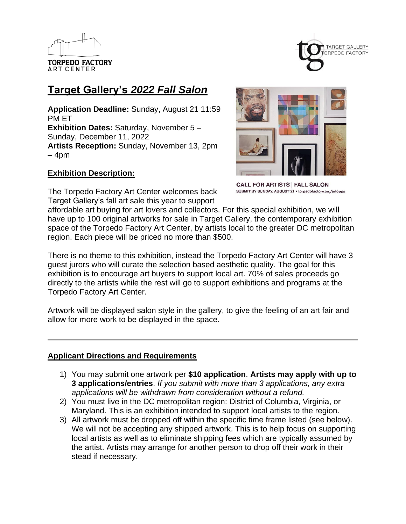



# **Target Gallery's** *2022 Fall Salon*

**Application Deadline:** Sunday, August 21 11:59 PM ET **Exhibition Dates:** Saturday, November 5 – Sunday, December 11, 2022 **Artists Reception:** Sunday, November 13, 2pm  $-4$ pm

## **Exhibition Description:**

The Torpedo Factory Art Center welcomes back Target Gallery's fall art sale this year to support



**CALL FOR ARTISTS | FALL SALON** SUBMIT BY SUNDAY, AUGUST 21 · torpedofactory.org/artopps

affordable art buying for art lovers and collectors. For this special exhibition, we will have up to 100 original artworks for sale in Target Gallery, the contemporary exhibition space of the Torpedo Factory Art Center, by artists local to the greater DC metropolitan region. Each piece will be priced no more than \$500.

There is no theme to this exhibition, instead the Torpedo Factory Art Center will have 3 guest jurors who will curate the selection based aesthetic quality. The goal for this exhibition is to encourage art buyers to support local art. 70% of sales proceeds go directly to the artists while the rest will go to support exhibitions and programs at the Torpedo Factory Art Center.

Artwork will be displayed salon style in the gallery, to give the feeling of an art fair and allow for more work to be displayed in the space.

## **Applicant Directions and Requirements**

- 1) You may submit one artwork per **\$10 application**. **Artists may apply with up to 3 applications/entries**. *If you submit with more than 3 applications, any extra applications will be withdrawn from consideration without a refund.*
- 2) You must live in the DC metropolitan region: District of Columbia, Virginia, or Maryland. This is an exhibition intended to support local artists to the region.
- 3) All artwork must be dropped off within the specific time frame listed (see below). We will not be accepting any shipped artwork. This is to help focus on supporting local artists as well as to eliminate shipping fees which are typically assumed by the artist. Artists may arrange for another person to drop off their work in their stead if necessary.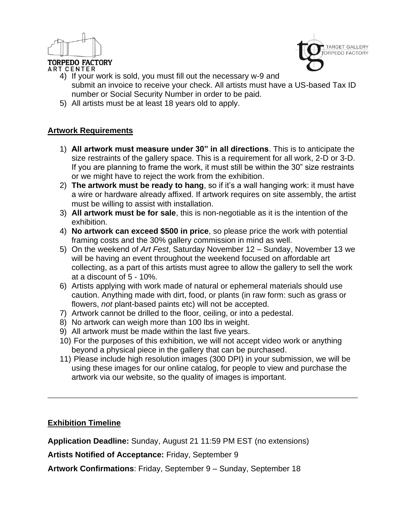



- **ART CENTER** 4) If your work is sold, you must fill out the necessary w-9 and submit an invoice to receive your check. All artists must have a US-based Tax ID number or Social Security Number in order to be paid.
	- 5) All artists must be at least 18 years old to apply.

## **Artwork Requirements**

- 1) **All artwork must measure under 30" in all directions**. This is to anticipate the size restraints of the gallery space. This is a requirement for all work, 2-D or 3-D. If you are planning to frame the work, it must still be within the 30" size restraints or we might have to reject the work from the exhibition.
- 2) **The artwork must be ready to hang**, so if it's a wall hanging work: it must have a wire or hardware already affixed. If artwork requires on site assembly, the artist must be willing to assist with installation.
- 3) **All artwork must be for sale**, this is non-negotiable as it is the intention of the exhibition.
- 4) **No artwork can exceed \$500 in price**, so please price the work with potential framing costs and the 30% gallery commission in mind as well.
- 5) On the weekend of *Art Fest*, Saturday November 12 Sunday, November 13 we will be having an event throughout the weekend focused on affordable art collecting, as a part of this artists must agree to allow the gallery to sell the work at a discount of 5 - 10%.
- 6) Artists applying with work made of natural or ephemeral materials should use caution. Anything made with dirt, food, or plants (in raw form: such as grass or flowers, *not* plant-based paints etc) will not be accepted.
- 7) Artwork cannot be drilled to the floor, ceiling, or into a pedestal.
- 8) No artwork can weigh more than 100 lbs in weight.
- 9) All artwork must be made within the last five years.
- 10) For the purposes of this exhibition, we will not accept video work or anything beyond a physical piece in the gallery that can be purchased.
- 11) Please include high resolution images (300 DPI) in your submission, we will be using these images for our online catalog, for people to view and purchase the artwork via our website, so the quality of images is important.

## **Exhibition Timeline**

**Application Deadline:** Sunday, August 21 11:59 PM EST (no extensions)

**Artists Notified of Acceptance:** Friday, September 9

**Artwork Confirmations**: Friday, September 9 – Sunday, September 18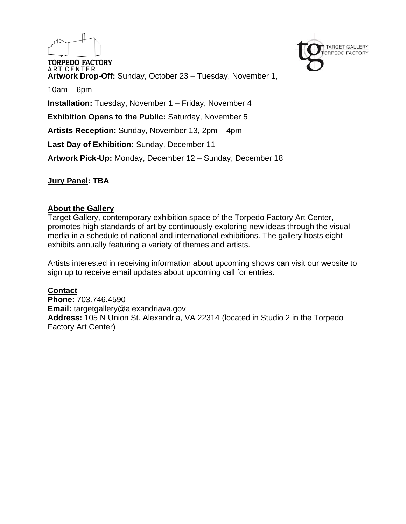

**Jury Panel: TBA**

## **About the Gallery**

Target Gallery, contemporary exhibition space of the Torpedo Factory Art Center, promotes high standards of art by continuously exploring new ideas through the visual media in a schedule of national and international exhibitions. The gallery hosts eight exhibits annually featuring a variety of themes and artists.

**TARGET GALLERY RPEDO FACTORY** 

Artists interested in receiving information about upcoming shows can visit our website to sign up to receive email updates about upcoming call for entries.

## **Contact**

**Phone:** 703.746.4590 **Email:** targetgallery@alexandriava.gov **Address:** 105 N Union St. Alexandria, VA 22314 (located in Studio 2 in the Torpedo Factory Art Center)